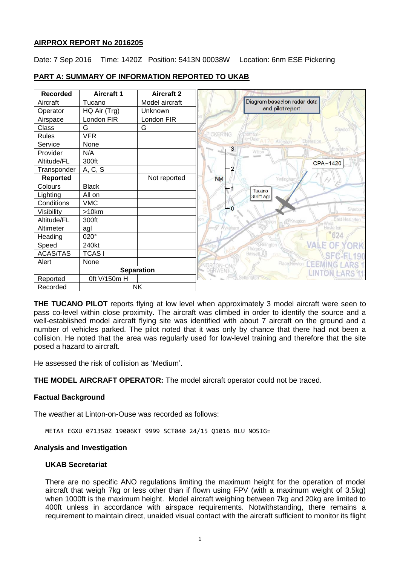## **AIRPROX REPORT No 2016205**

Date: 7 Sep 2016 Time: 1420Z Position: 5413N 00038W Location: 6nm ESE Pickering

| <b>Recorded</b> | <b>Aircraft 1</b> | <b>Aircraft 2</b> |           |                                    |
|-----------------|-------------------|-------------------|-----------|------------------------------------|
| Aircraft        | Tucano            | Model aircraft    |           | Diagram based on radar data        |
| Operator        | HQ Air (Trg)      | Unknown           |           | and pilot report                   |
| Airspace        | London FIR        | London FIR        |           |                                    |
| Class           | G                 | G                 |           | Sawdon <sup>3</sup>                |
| <b>Rules</b>    | <b>VFR</b>        |                   | PICKERING | le-Dale                            |
| Service         | None              |                   |           | Ebberston<br>Allerston             |
| Provider        | N/A               |                   | $-3$      | Snainton<br>Wilton                 |
| Altitude/FL     | 300ft             |                   |           | CPA~1420                           |
| Transponder     | A, C, S           |                   |           |                                    |
| <b>Reported</b> |                   | Not reported      | <b>NM</b> | Yedingham                          |
| Colours         | <b>Black</b>      |                   |           |                                    |
| Lighting        | All on            |                   |           | Tucano<br>300ft agl                |
| Conditions      | <b>VMC</b>        |                   |           |                                    |
| Visibility      | >10km             |                   | $-0$      | Sherburn                           |
| Altitude/FL     | 300ft             |                   |           | East-Heslerton<br><b>R</b> Knapton |
| Altimeter       | agl               |                   | vkehan    | deslerton                          |
| Heading         | 020°              |                   |           |                                    |
| Speed           | 240kt             |                   |           | VAI<br>Rillington<br>Thorpe        |
| <b>ACAS/TAS</b> | <b>TCASI</b>      |                   |           | Bassett_D/7                        |
| Alert           | None              |                   |           | Place Newton<br>`FRI               |
|                 | <b>Separation</b> |                   | DERWEN    |                                    |
| Reported        | 0ft V/150m H      |                   |           |                                    |
| Recorded        | <b>NK</b>         |                   |           |                                    |

# **PART A: SUMMARY OF INFORMATION REPORTED TO UKAB**

**THE TUCANO PILOT** reports flying at low level when approximately 3 model aircraft were seen to pass co-level within close proximity. The aircraft was climbed in order to identify the source and a well-established model aircraft flying site was identified with about 7 aircraft on the ground and a number of vehicles parked. The pilot noted that it was only by chance that there had not been a collision. He noted that the area was regularly used for low-level training and therefore that the site posed a hazard to aircraft.

He assessed the risk of collision as 'Medium'.

**THE MODEL AIRCRAFT OPERATOR:** The model aircraft operator could not be traced.

## **Factual Background**

The weather at Linton-on-Ouse was recorded as follows:

METAR EGXU 071350Z 19006KT 9999 SCT040 24/15 Q1016 BLU NOSIG=

### **Analysis and Investigation**

### **UKAB Secretariat**

There are no specific ANO regulations limiting the maximum height for the operation of model aircraft that weigh 7kg or less other than if flown using FPV (with a maximum weight of 3.5kg) when 1000ft is the maximum height. Model aircraft weighing between 7kg and 20kg are limited to 400ft unless in accordance with airspace requirements. Notwithstanding, there remains a requirement to maintain direct, unaided visual contact with the aircraft sufficient to monitor its flight